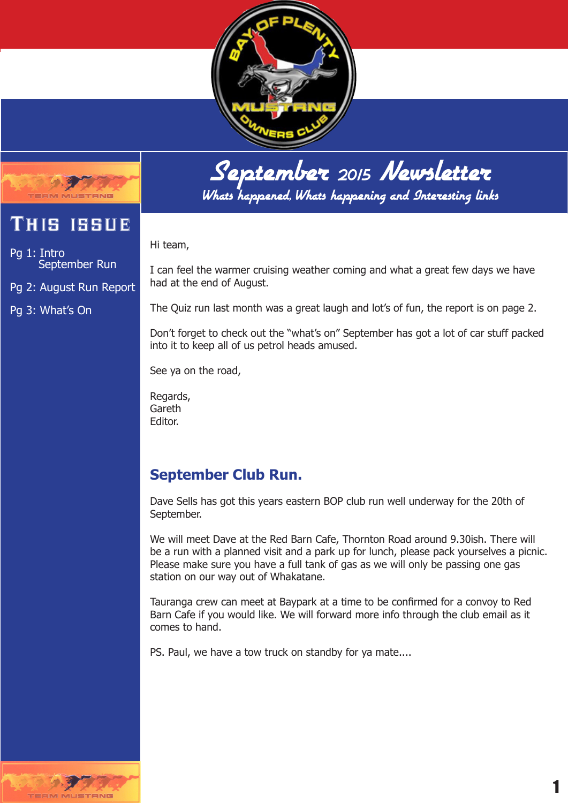



## This issue

Pg 1: Intro September Run

Pg 2: August Run Report

Pg 3: What's On

September <sup>2015</sup> Newsletter Whats happened, Whats happening and Interesting links

Hi team,

I can feel the warmer cruising weather coming and what a great few days we have had at the end of August.

The Quiz run last month was a great laugh and lot's of fun, the report is on page 2.

Don't forget to check out the "what's on" September has got a lot of car stuff packed into it to keep all of us petrol heads amused.

See ya on the road,

Regards, Gareth Editor.

## **September Club Run.**

Dave Sells has got this years eastern BOP club run well underway for the 20th of September.

We will meet Dave at the Red Barn Cafe, Thornton Road around 9.30ish. There will be a run with a planned visit and a park up for lunch, please pack yourselves a picnic. Please make sure you have a full tank of gas as we will only be passing one gas station on our way out of Whakatane.

Tauranga crew can meet at Baypark at a time to be confirmed for a convoy to Red Barn Cafe if you would like. We will forward more info through the club email as it comes to hand.

PS. Paul, we have a tow truck on standby for ya mate....

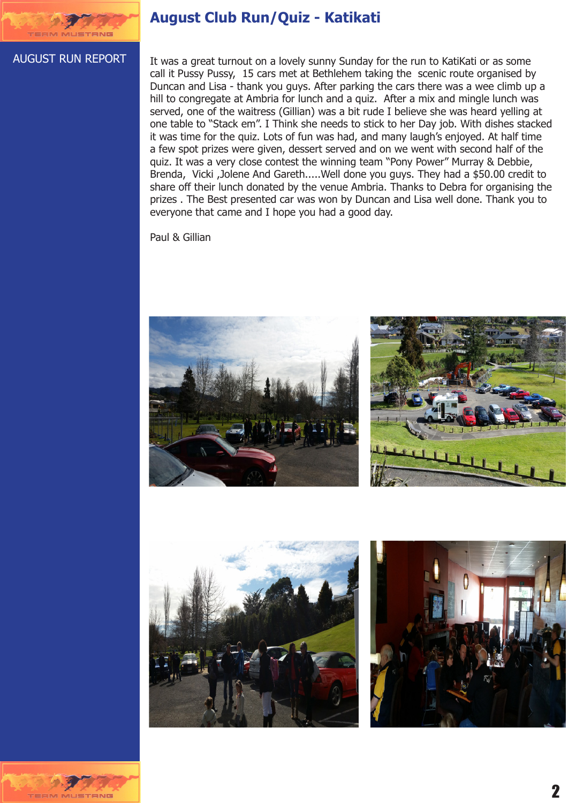

### **August Club Run/Quiz - Katikati**

#### AUGUST RUN REPORT

It was a great turnout on a lovely sunny Sunday for the run to KatiKati or as some call it Pussy Pussy, 15 cars met at Bethlehem taking the scenic route organised by Duncan and Lisa - thank you guys. After parking the cars there was a wee climb up a hill to congregate at Ambria for lunch and a quiz. After a mix and mingle lunch was served, one of the waitress (Gillian) was a bit rude I believe she was heard yelling at one table to "Stack em". I Think she needs to stick to her Day job. With dishes stacked it was time for the quiz. Lots of fun was had, and many laugh's enjoyed. At half time a few spot prizes were given, dessert served and on we went with second half of the quiz. It was a very close contest the winning team "Pony Power" Murray & Debbie, Brenda, Vicki ,Jolene And Gareth.....Well done you guys. They had a \$50.00 credit to share off their lunch donated by the venue Ambria. Thanks to Debra for organising the prizes . The Best presented car was won by Duncan and Lisa well done. Thank you to everyone that came and I hope you had a good day.

Paul & Gillian